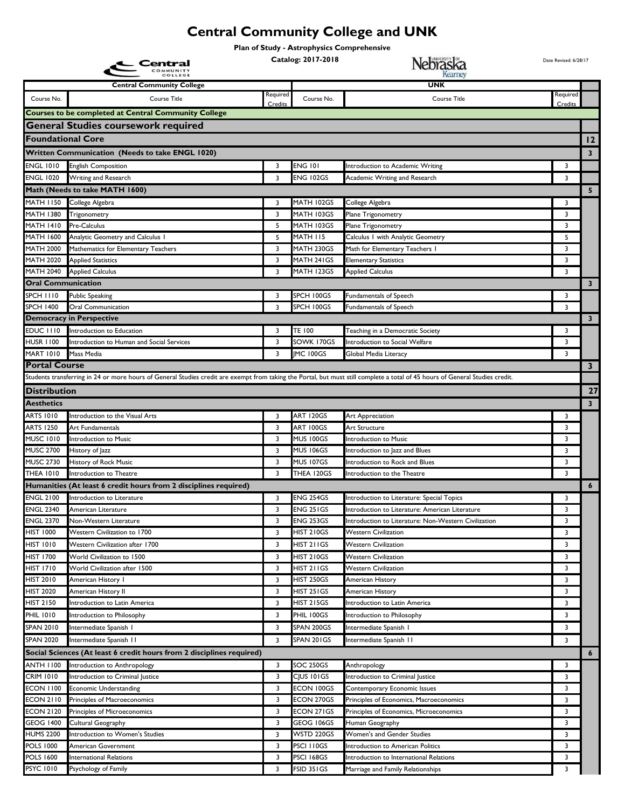## **Central Community College and UNK**

**Plan of Study - Astrophysics Comprehensive**

| Central                              |                                                                                                                                                                               |          | Catalog: 2017-2018                   | Nebraska                                                                                                | Date Revised: 6/28/17 |                         |
|--------------------------------------|-------------------------------------------------------------------------------------------------------------------------------------------------------------------------------|----------|--------------------------------------|---------------------------------------------------------------------------------------------------------|-----------------------|-------------------------|
|                                      | <b>Central Community College</b>                                                                                                                                              | Required |                                      | <b>UNK</b>                                                                                              | Required              |                         |
| Course No.                           | Course Title                                                                                                                                                                  | Credits  | Course No.                           | <b>Course Title</b>                                                                                     | Credits               |                         |
|                                      | <b>Courses to be completed at Central Community College</b>                                                                                                                   |          |                                      |                                                                                                         |                       |                         |
|                                      | <b>General Studies coursework required</b>                                                                                                                                    |          |                                      |                                                                                                         |                       |                         |
| <b>Foundational Core</b>             |                                                                                                                                                                               |          |                                      |                                                                                                         |                       | $\overline{12}$         |
|                                      | <b>Written Communication (Needs to take ENGL 1020)</b>                                                                                                                        |          |                                      |                                                                                                         |                       | $\overline{\mathbf{3}}$ |
| ENGL 1010                            | <b>English Composition</b>                                                                                                                                                    | 3        | <b>ENG 101</b>                       | Introduction to Academic Writing                                                                        | 3                     |                         |
| <b>ENGL 1020</b>                     | Writing and Research                                                                                                                                                          | 3        | <b>ENG 102GS</b>                     | Academic Writing and Research                                                                           | 3                     |                         |
|                                      | Math (Needs to take MATH 1600)                                                                                                                                                |          |                                      |                                                                                                         |                       | 5                       |
| MATH 1150                            | College Algebra                                                                                                                                                               | 3        | MATH 102GS                           | College Algebra                                                                                         | 3                     |                         |
| <b>MATH 1380</b>                     | Trigonometry                                                                                                                                                                  | 3        | MATH 103GS                           | Plane Trigonometry                                                                                      | 3                     |                         |
| <b>MATH 1410</b>                     | Pre-Calculus                                                                                                                                                                  | 5        | MATH 103GS                           | Plane Trigonometry                                                                                      | 3                     |                         |
| <b>MATH 1600</b>                     | Analytic Geometry and Calculus I                                                                                                                                              | 5        | <b>MATH 115</b>                      | Calculus I with Analytic Geometry                                                                       | 5                     |                         |
| <b>MATH 2000</b>                     | Mathematics for Elementary Teachers                                                                                                                                           | 3        | MATH 230GS                           | Math for Elementary Teachers I                                                                          | 3                     |                         |
| <b>MATH 2020</b>                     | <b>Applied Statistics</b>                                                                                                                                                     | 3        | MATH 241GS                           | <b>Elementary Statistics</b>                                                                            | 3                     |                         |
| <b>MATH 2040</b>                     | <b>Applied Calculus</b>                                                                                                                                                       | 3        | MATH 123GS                           | <b>Applied Calculus</b>                                                                                 | 3                     |                         |
| <b>Oral Communication</b>            |                                                                                                                                                                               |          |                                      |                                                                                                         |                       | $\mathbf{3}$            |
| <b>SPCH 1110</b>                     | <b>Public Speaking</b>                                                                                                                                                        | 3        | SPCH 100GS                           | Fundamentals of Speech                                                                                  | 3                     |                         |
| <b>SPCH 1400</b>                     | <b>Oral Communication</b>                                                                                                                                                     | 3        | SPCH 100GS                           | Fundamentals of Speech                                                                                  | 3                     |                         |
|                                      | <b>Democracy in Perspective</b>                                                                                                                                               |          |                                      |                                                                                                         |                       | $\mathbf{3}$            |
| EDUC III0                            | Introduction to Education                                                                                                                                                     | 3        | <b>TE 100</b>                        | Teaching in a Democratic Society                                                                        | 3                     |                         |
| <b>HUSR 1100</b>                     | Introduction to Human and Social Services                                                                                                                                     | 3        | SOWK 170GS                           | Introduction to Social Welfare                                                                          | 3                     |                         |
| <b>MART 1010</b>                     | Mass Media                                                                                                                                                                    | 3        | <b>IMC 100GS</b>                     | Global Media Literacy                                                                                   | 3                     |                         |
| <b>Portal Course</b>                 |                                                                                                                                                                               |          |                                      |                                                                                                         |                       | 3 <sup>7</sup>          |
|                                      | Students transferring in 24 or more hours of General Studies credit are exempt from taking the Portal, but must still complete a total of 45 hours of General Studies credit. |          |                                      |                                                                                                         |                       |                         |
| <b>Distribution</b>                  |                                                                                                                                                                               |          |                                      |                                                                                                         |                       | 27                      |
| <b>Aesthetics</b>                    |                                                                                                                                                                               |          |                                      |                                                                                                         |                       | $\overline{\mathbf{3}}$ |
| <b>ARTS 1010</b>                     | Introduction to the Visual Arts                                                                                                                                               | 3        | <b>ART 120GS</b>                     | Art Appreciation                                                                                        | 3                     |                         |
| <b>ARTS 1250</b>                     | Art Fundamentals                                                                                                                                                              | 3        | <b>ART 100GS</b>                     | Art Structure                                                                                           | 3                     |                         |
| <b>MUSC 1010</b>                     | Introduction to Music                                                                                                                                                         | 3        | MUS 100GS                            | Introduction to Music                                                                                   | 3                     |                         |
| <b>MUSC 2700</b>                     | History of Jazz                                                                                                                                                               | 3        | <b>MUS 106GS</b>                     | Introduction to Jazz and Blues                                                                          | 3                     |                         |
| <b>MUSC 2730</b>                     | History of Rock Music                                                                                                                                                         | 3        | <b>MUS 107GS</b>                     | Introduction to Rock and Blues                                                                          | 3                     |                         |
| <b>THEA 1010</b>                     | Introduction to Theatre                                                                                                                                                       | 3        | THEA 120GS                           | Introduction to the Theatre                                                                             | 3                     |                         |
|                                      | Humanities (At least 6 credit hours from 2 disciplines required)                                                                                                              |          |                                      |                                                                                                         |                       | $\boldsymbol{6}$        |
| <b>ENGL 2100</b><br><b>ENGL 2340</b> | Introduction to Literature                                                                                                                                                    | 3<br>3   | <b>ENG 254GS</b><br><b>ENG 251GS</b> | Introduction to Literature: Special Topics                                                              | 3<br>3                |                         |
| <b>ENGL 2370</b>                     | American Literature<br>Non-Western Literature                                                                                                                                 | 3        | <b>ENG 253GS</b>                     | Introduction to Literature: American Literature<br>Introduction to Literature: Non-Western Civilization | 3                     |                         |
| <b>HIST 1000</b>                     | Western Civilization to 1700                                                                                                                                                  | 3        | <b>HIST 210GS</b>                    | <b>Western Civilization</b>                                                                             | 3                     |                         |
| <b>HIST 1010</b>                     | Western Civilization after 1700                                                                                                                                               | 3        | HIST 211GS                           | <b>Western Civilization</b>                                                                             | 3                     |                         |
| HIST 1700                            | World Civilization to 1500                                                                                                                                                    | 3        | HIST 210GS                           | <b>Western Civilization</b>                                                                             | 3                     |                         |
| <b>HIST 1710</b>                     | World Civilization after 1500                                                                                                                                                 | 3        | HIST 211GS                           | <b>Western Civilization</b>                                                                             | 3                     |                         |
| <b>HIST 2010</b>                     | American History I                                                                                                                                                            | 3        | HIST 250GS                           | American History                                                                                        | 3                     |                         |
| <b>HIST 2020</b>                     | American History II                                                                                                                                                           | 3        | HIST 251 GS                          | American History                                                                                        | 3                     |                         |
| HIST 2150                            | Introduction to Latin America                                                                                                                                                 | 3        | HIST 215GS                           | Introduction to Latin America                                                                           | 3                     |                         |
| <b>PHIL 1010</b>                     | Introduction to Philosophy                                                                                                                                                    | 3        | PHIL 100GS                           | Introduction to Philosophy                                                                              | 3                     |                         |
| SPAN 2010                            | Intermediate Spanish I                                                                                                                                                        | 3        | SPAN 200GS                           | Intermediate Spanish I                                                                                  | 3                     |                         |
| <b>SPAN 2020</b>                     | Intermediate Spanish II                                                                                                                                                       | 3        | SPAN 201GS                           | Intermediate Spanish II                                                                                 | 3                     |                         |
|                                      | Social Sciences (At least 6 credit hours from 2 disciplines required)                                                                                                         |          |                                      |                                                                                                         |                       | $\boldsymbol{6}$        |
|                                      |                                                                                                                                                                               |          |                                      |                                                                                                         |                       |                         |
| <b>ANTH 1100</b><br><b>CRIM 1010</b> | Introduction to Anthropology<br>Introduction to Criminal Justice                                                                                                              | 3<br>3   | <b>SOC 250GS</b><br>CJUS 101GS       | Anthropology<br>Introduction to Criminal Justice                                                        | 3<br>3                |                         |
| <b>ECON 1100</b>                     | <b>Economic Understanding</b>                                                                                                                                                 | 3        | ECON 100GS                           | Contemporary Economic Issues                                                                            | 3                     |                         |
| <b>ECON 2110</b>                     | Principles of Macroeconomics                                                                                                                                                  | 3        | ECON 270GS                           | Principles of Economics, Macroeconomics                                                                 | 3                     |                         |
| <b>ECON 2120</b>                     | Principles of Microeconomics                                                                                                                                                  | 3        | ECON 271GS                           | Principles of Economics, Microeconomics                                                                 | 3                     |                         |
| <b>GEOG 1400</b>                     | Cultural Geography                                                                                                                                                            | 3        | GEOG 106GS                           | Human Geography                                                                                         | 3                     |                         |
| <b>HUMS 2200</b>                     | Introduction to Women's Studies                                                                                                                                               | 3        | WSTD 220GS                           | Women's and Gender Studies                                                                              | 3                     |                         |
| <b>POLS 1000</b>                     | American Government                                                                                                                                                           | 3        | PSCI I IOGS                          | Introduction to American Politics                                                                       | 3                     |                         |
| <b>POLS 1600</b>                     | <b>International Relations</b>                                                                                                                                                | 3        | PSCI 168GS                           | Introduction to International Relations                                                                 | 3                     |                         |
| <b>PSYC 1010</b>                     | Psychology of Family                                                                                                                                                          | 3        | FSID 351GS                           | Marriage and Family Relationships                                                                       | 3                     |                         |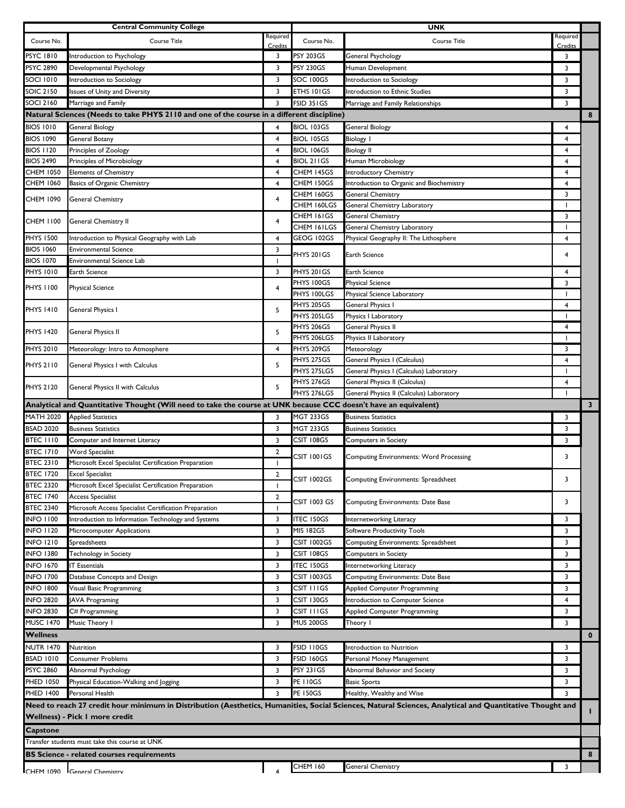|                  | <b>Central Community College</b>                                                                                 |                |                          | UNK                                                                                                                                                      |                     |              |
|------------------|------------------------------------------------------------------------------------------------------------------|----------------|--------------------------|----------------------------------------------------------------------------------------------------------------------------------------------------------|---------------------|--------------|
| Course No.       | Course Title                                                                                                     | Required       | Course No.               | Course Title                                                                                                                                             | Required<br>Credits |              |
| <b>PSYC 1810</b> | Introduction to Psychology                                                                                       | Credits<br>3   | PSY 203GS                | General Psychology                                                                                                                                       | 3                   |              |
| <b>PSYC 2890</b> | Developmental Psychology                                                                                         | 3              | <b>PSY 230GS</b>         | Human Development                                                                                                                                        | 3                   |              |
| SOCI 1010        | Introduction to Sociology                                                                                        | 3              | SOC 100GS                | <b>Introduction to Sociology</b>                                                                                                                         | 3                   |              |
| SOIC 2150        | Issues of Unity and Diversity                                                                                    | 3              | ETHS 101GS               | Introduction to Ethnic Studies                                                                                                                           | 3                   |              |
| SOCI 2160        | Marriage and Family                                                                                              | 3              | <b>FSID 351GS</b>        | Marriage and Family Relationships                                                                                                                        | 3                   |              |
|                  | Natural Sciences (Needs to take PHYS 2110 and one of the course in a different discipline)                       |                |                          |                                                                                                                                                          |                     | 8            |
| <b>BIOS 1010</b> | <b>General Biology</b>                                                                                           | 4              | <b>BIOL 103GS</b>        | <b>General Biology</b>                                                                                                                                   | $\overline{4}$      |              |
| <b>BIOS 1090</b> | General Botany                                                                                                   | 4              | <b>BIOL 105GS</b>        | <b>Biology I</b>                                                                                                                                         | $\overline{4}$      |              |
| <b>BIOS 1120</b> | Principles of Zoology                                                                                            | $\overline{4}$ | <b>BIOL 106GS</b>        | <b>Biology II</b>                                                                                                                                        | $\overline{4}$      |              |
| <b>BIOS 2490</b> | Principles of Microbiology                                                                                       | $\overline{4}$ | <b>BIOL 211GS</b>        | Human Microbiology                                                                                                                                       | $\overline{4}$      |              |
| CHEM 1050        | <b>Elements of Chemistry</b>                                                                                     | 4              | CHEM 145GS               | Introductory Chemistry                                                                                                                                   | $\overline{4}$      |              |
| CHEM 1060        | Basics of Organic Chemistry                                                                                      | $\overline{4}$ | CHEM 150GS               | Introduction to Organic and Biochemistry                                                                                                                 | 4                   |              |
|                  |                                                                                                                  |                | CHEM 160GS               | General Chemistry                                                                                                                                        | 3                   |              |
| <b>CHEM 1090</b> | General Chemistry                                                                                                | 4              | CHEM 160LGS              | General Chemistry Laboratory                                                                                                                             |                     |              |
|                  |                                                                                                                  | 4              | CHEM 161GS               | <b>General Chemistry</b>                                                                                                                                 | 3                   |              |
| CHEM 1100        | General Chemistry II                                                                                             |                | CHEM 161LGS              | General Chemistry Laboratory                                                                                                                             |                     |              |
| <b>PHYS 1500</b> | Introduction to Physical Geography with Lab                                                                      | 4              | GEOG 102GS               | Physical Geography II: The Lithosphere                                                                                                                   | 4                   |              |
| <b>BIOS 1060</b> | <b>Environmental Science</b>                                                                                     | 3              | PHYS 201GS               | Earth Science                                                                                                                                            | $\overline{4}$      |              |
| <b>BIOS 1070</b> | Environmental Science Lab                                                                                        | $\mathbf{I}$   |                          |                                                                                                                                                          |                     |              |
| <b>PHYS 1010</b> | Earth Science                                                                                                    | 3              | PHYS 201GS               | Earth Science                                                                                                                                            | 4                   |              |
| PHYS 1100        | Physical Science                                                                                                 | $\overline{4}$ | PHYS 100GS               | <b>Physical Science</b>                                                                                                                                  | 3                   |              |
|                  |                                                                                                                  |                | PHYS 100LGS              | Physical Science Laboratory                                                                                                                              |                     |              |
| <b>PHYS 1410</b> | General Physics I                                                                                                | 5              | PHYS 205GS               | General Physics I                                                                                                                                        | $\overline{4}$      |              |
|                  |                                                                                                                  |                | PHYS 205LGS              | Physics I Laboratory                                                                                                                                     | $\blacksquare$      |              |
| <b>PHYS 1420</b> | General Physics II                                                                                               | 5              | PHYS 206GS               | General Physics II                                                                                                                                       | 4                   |              |
|                  |                                                                                                                  |                | PHYS 206LGS              | Physics II Laboratory                                                                                                                                    | $\blacksquare$      |              |
| PHYS 2010        | Meteorology: Intro to Atmosphere                                                                                 | $\overline{4}$ | PHYS 209GS<br>PHYS 275GS | Meteorology<br>General Physics I (Calculus)                                                                                                              | 3<br>$\overline{4}$ |              |
| PHYS 2110        | General Physics I with Calculus                                                                                  | 5              | PHYS 275LGS              | General Physics I (Calculus) Laboratory                                                                                                                  | $\blacksquare$      |              |
|                  |                                                                                                                  |                | PHYS 276GS               | General Physics II (Calculus)                                                                                                                            | 4                   |              |
| <b>PHYS 2120</b> | General Physics II with Calculus                                                                                 | 5              | PHYS 276LGS              | General Physics II (Calculus) Laboratory                                                                                                                 | $\mathbf{I}$        |              |
|                  | Analytical and Quantitative Thought (Will need to take the course at UNK because CCC doesn't have an equivalent) |                |                          |                                                                                                                                                          |                     | $\mathbf{3}$ |
| <b>MATH 2020</b> | <b>Applied Statistics</b>                                                                                        | 3              | MGT 233GS                | <b>Business Statistics</b>                                                                                                                               | 3                   |              |
| <b>BSAD 2020</b> | <b>Business Statistics</b>                                                                                       | 3              | MGT 233GS                | <b>Business Statistics</b>                                                                                                                               | 3                   |              |
| <b>BTEC 1110</b> | Computer and Internet Literacy                                                                                   | 3              | CSIT 108GS               | Computers in Society                                                                                                                                     | 3                   |              |
| <b>BTEC 1710</b> | <b>Word Specialist</b>                                                                                           | $\overline{2}$ |                          |                                                                                                                                                          |                     |              |
| <b>BTEC 2310</b> | Microsoft Excel Specialist Certification Preparation                                                             | -1             | CSIT 1001GS              | <b>Computing Environments: Word Processing</b>                                                                                                           | 3                   |              |
| <b>BTEC 1720</b> | <b>Excel Specialist</b>                                                                                          | $\overline{2}$ | <b>CSIT 1002GS</b>       |                                                                                                                                                          |                     |              |
| <b>BTEC 2320</b> | Microsoft Excel Specialist Certification Preparation                                                             | ı.             |                          | <b>Computing Environments: Spreadsheet</b>                                                                                                               | 3                   |              |
| <b>BTEC 1740</b> | Access Specialist                                                                                                | $\overline{2}$ | CSIT 1003 GS             | Computing Environments: Date Base                                                                                                                        | 3                   |              |
| <b>BTEC 2340</b> | Microsoft Access Specialist Certification Preparation                                                            | 1              |                          |                                                                                                                                                          |                     |              |
| <b>INFO 1100</b> | Introduction to Information Technology and Systems                                                               | 3              | <b>ITEC 150GS</b>        | Internetworking Literacy                                                                                                                                 | 3                   |              |
| <b>INFO 1120</b> | Microcomputer Applications                                                                                       | 3              | MIS 182GS                | Software Productivity Tools                                                                                                                              | 3                   |              |
| <b>INFO 1210</b> | Spreadsheets                                                                                                     | 3              | CSIT 1002GS              | Computing Environments: Spreadsheet                                                                                                                      | 3                   |              |
| <b>INFO 1380</b> | Technology in Society                                                                                            | 3              | CSIT 108GS               | Computers in Society                                                                                                                                     | 3                   |              |
| <b>INFO 1670</b> | <b>IT Essentials</b>                                                                                             | 3              | ITEC 150GS               | Internetworking Literacy                                                                                                                                 | 3                   |              |
| <b>INFO 1700</b> | Database Concepts and Design                                                                                     | 3              | CSIT 1003GS              | Computing Environments: Date Base                                                                                                                        | 3                   |              |
| <b>INFO 1800</b> | Visual Basic Programming                                                                                         | 3              | CSIT IIIGS               | <b>Applied Computer Programming</b>                                                                                                                      | 3                   |              |
| <b>INFO 2820</b> | <b>JAVA Programing</b>                                                                                           | 3              | CSIT 130GS               | Introduction to Computer Science                                                                                                                         | $\overline{4}$      |              |
| <b>INFO 2830</b> | C# Programming                                                                                                   | 3              | CSIT IIIGS               | <b>Applied Computer Programming</b>                                                                                                                      | 3                   |              |
| <b>MUSC 1470</b> | Music Theory I                                                                                                   | 3              | <b>MUS 200GS</b>         | Theory I                                                                                                                                                 | 3                   |              |
| <b>Wellness</b>  |                                                                                                                  |                |                          |                                                                                                                                                          |                     | $\bf{0}$     |
| <b>NUTR 1470</b> | Nutrition                                                                                                        | 3              | FSID 110GS               | Introduction to Nutrition                                                                                                                                | 3                   |              |
| <b>BSAD 1010</b> | Consumer Problems                                                                                                | 3              | <b>FSID 160GS</b>        | Personal Money Management                                                                                                                                | 3                   |              |
| <b>PSYC 2860</b> | Abnormal Psychology                                                                                              | 3              | <b>PSY 231GS</b>         | Abnormal Behavior and Society                                                                                                                            | 3                   |              |
| PHED 1050        | Physical Education-Walking and Jogging                                                                           | 3              | <b>PE 110GS</b>          | <b>Basic Sports</b>                                                                                                                                      | 3                   |              |
| <b>PHED 1400</b> | Personal Health                                                                                                  | 3              | <b>PE 150GS</b>          | Healthy, Wealthy and Wise                                                                                                                                | 3                   |              |
|                  |                                                                                                                  |                |                          | Need to reach 27 credit hour minimum in Distribution (Aesthetics, Humanities, Social Sciences, Natural Sciences, Analytical and Quantitative Thought and |                     | L            |
|                  | Wellness) - Pick I more credit                                                                                   |                |                          |                                                                                                                                                          |                     |              |
| Capstone         |                                                                                                                  |                |                          |                                                                                                                                                          |                     |              |
|                  |                                                                                                                  |                |                          |                                                                                                                                                          |                     |              |
|                  | Transfer students must take this course at UNK                                                                   |                |                          |                                                                                                                                                          |                     |              |
|                  | <b>BS Science - related courses requirements</b>                                                                 |                |                          |                                                                                                                                                          |                     | 8            |
|                  | CHFM 1090 General Chemistry                                                                                      |                | <b>CHEM 160</b>          | <b>General Chemistry</b>                                                                                                                                 | 3                   |              |